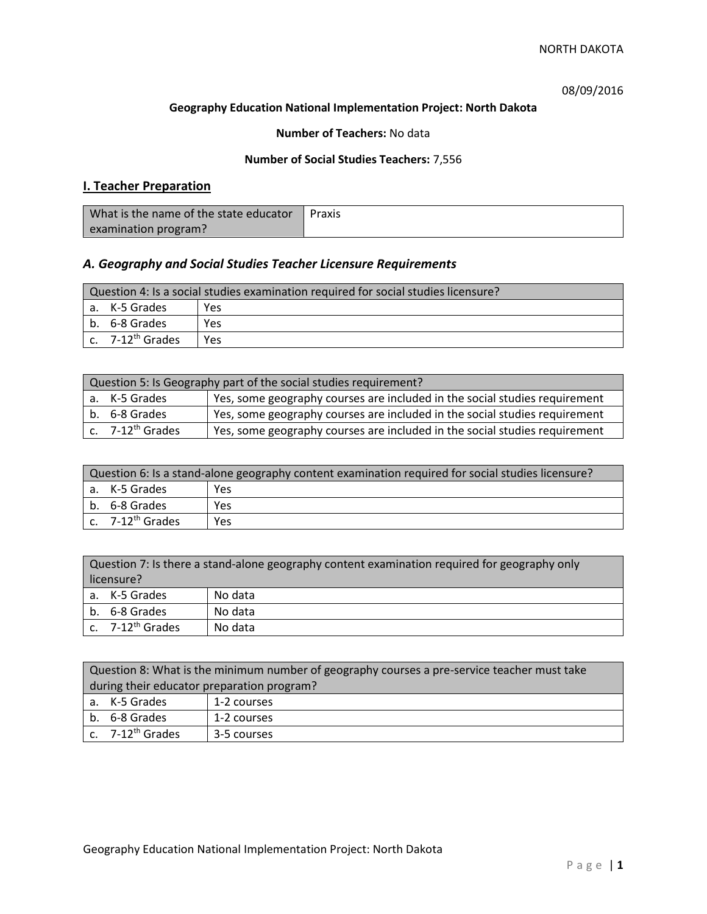08/09/2016

#### **Geography Education National Implementation Project: North Dakota**

## **Number of Teachers:** No data

### **Number of Social Studies Teachers:** 7,556

# **I. Teacher Preparation**

| What is the name of the state educator | Praxis |
|----------------------------------------|--------|
| examination program?                   |        |

# *A. Geography and Social Studies Teacher Licensure Requirements*

| Question 4: Is a social studies examination required for social studies licensure? |                                         |     |
|------------------------------------------------------------------------------------|-----------------------------------------|-----|
|                                                                                    | a. K-5 Grades                           | Yes |
|                                                                                    | l b. 6-8 Grades                         | Yes |
|                                                                                    | $\mathsf{c.}$ 7-12 <sup>th</sup> Grades | Yes |

| Question 5: Is Geography part of the social studies requirement? |                              |                                                                            |
|------------------------------------------------------------------|------------------------------|----------------------------------------------------------------------------|
|                                                                  | a. K-5 Grades                | Yes, some geography courses are included in the social studies requirement |
|                                                                  | b. 6-8 Grades                | Yes, some geography courses are included in the social studies requirement |
|                                                                  | c. 7-12 <sup>th</sup> Grades | Yes, some geography courses are included in the social studies requirement |

| Question 6: Is a stand-alone geography content examination required for social studies licensure? |                       |      |
|---------------------------------------------------------------------------------------------------|-----------------------|------|
|                                                                                                   | a. K-5 Grades         | Yes. |
|                                                                                                   | b. 6-8 Grades         | Yes  |
|                                                                                                   | c. $7-12^{th}$ Grades | Yes  |

| Question 7: Is there a stand-alone geography content examination required for geography only<br>licensure? |         |  |
|------------------------------------------------------------------------------------------------------------|---------|--|
| a. K-5 Grades                                                                                              | No data |  |
| b. 6-8 Grades                                                                                              | No data |  |
| c. 7-12 <sup>th</sup> Grades                                                                               | No data |  |

|                                            | Question 8: What is the minimum number of geography courses a pre-service teacher must take |             |  |
|--------------------------------------------|---------------------------------------------------------------------------------------------|-------------|--|
| during their educator preparation program? |                                                                                             |             |  |
|                                            | a. K-5 Grades                                                                               | 1-2 courses |  |
|                                            | b. 6-8 Grades                                                                               | 1-2 courses |  |
|                                            | $\vert$ c. 7-12 <sup>th</sup> Grades                                                        | 3-5 courses |  |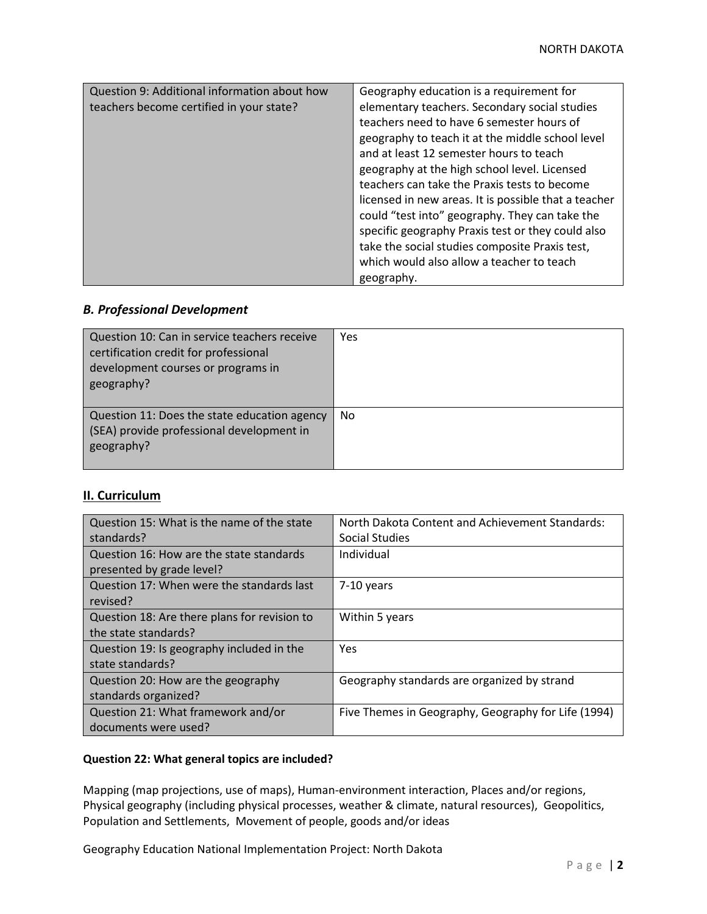| Question 9: Additional information about how | Geography education is a requirement for             |
|----------------------------------------------|------------------------------------------------------|
| teachers become certified in your state?     | elementary teachers. Secondary social studies        |
|                                              |                                                      |
|                                              | teachers need to have 6 semester hours of            |
|                                              | geography to teach it at the middle school level     |
|                                              | and at least 12 semester hours to teach              |
|                                              | geography at the high school level. Licensed         |
|                                              | teachers can take the Praxis tests to become         |
|                                              | licensed in new areas. It is possible that a teacher |
|                                              | could "test into" geography. They can take the       |
|                                              | specific geography Praxis test or they could also    |
|                                              | take the social studies composite Praxis test,       |
|                                              | which would also allow a teacher to teach            |
|                                              | geography.                                           |

# *B. Professional Development*

| Question 10: Can in service teachers receive<br>certification credit for professional<br>development courses or programs in<br>geography? | Yes       |
|-------------------------------------------------------------------------------------------------------------------------------------------|-----------|
| Question 11: Does the state education agency<br>(SEA) provide professional development in<br>geography?                                   | <b>No</b> |

# **II. Curriculum**

| Question 15: What is the name of the state   | North Dakota Content and Achievement Standards:     |
|----------------------------------------------|-----------------------------------------------------|
| standards?                                   | <b>Social Studies</b>                               |
| Question 16: How are the state standards     | Individual                                          |
| presented by grade level?                    |                                                     |
| Question 17: When were the standards last    | 7-10 years                                          |
| revised?                                     |                                                     |
| Question 18: Are there plans for revision to | Within 5 years                                      |
| the state standards?                         |                                                     |
| Question 19: Is geography included in the    | Yes                                                 |
| state standards?                             |                                                     |
| Question 20: How are the geography           | Geography standards are organized by strand         |
| standards organized?                         |                                                     |
| Question 21: What framework and/or           | Five Themes in Geography, Geography for Life (1994) |
| documents were used?                         |                                                     |

### **Question 22: What general topics are included?**

Mapping (map projections, use of maps), Human-environment interaction, Places and/or regions, Physical geography (including physical processes, weather & climate, natural resources), Geopolitics, Population and Settlements, Movement of people, goods and/or ideas

Geography Education National Implementation Project: North Dakota